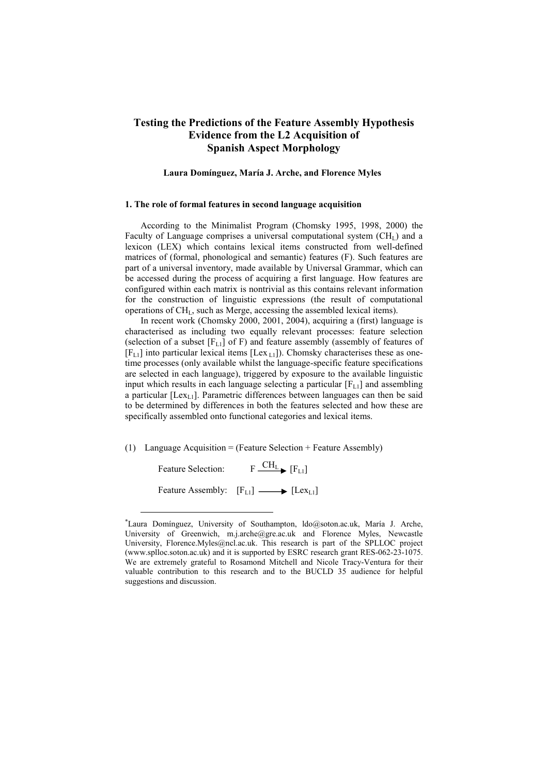# **Testing the Predictions of the Feature Assembly Hypothesis Evidence from the L2 Acquisition of Spanish Aspect Morphology**

#### **Laura Domínguez, María J. Arche, and Florence Myles**<sup>∗</sup>

#### **1. The role of formal features in second language acquisition**

According to the Minimalist Program (Chomsky 1995, 1998, 2000) the Faculty of Language comprises a universal computational system  $(CH<sub>L</sub>)$  and a lexicon (LEX) which contains lexical items constructed from well-defined matrices of (formal, phonological and semantic) features (F). Such features are part of a universal inventory, made available by Universal Grammar, which can be accessed during the process of acquiring a first language. How features are configured within each matrix is nontrivial as this contains relevant information for the construction of linguistic expressions (the result of computational operations of CHL, such as Merge, accessing the assembled lexical items).

In recent work (Chomsky 2000, 2001, 2004), acquiring a (first) language is characterised as including two equally relevant processes: feature selection (selection of a subset  $[F_{L1}]$  of F) and feature assembly (assembly of features of  $[F_{L1}]$  into particular lexical items [Lex<sub>L1</sub>]). Chomsky characterises these as onetime processes (only available whilst the language-specific feature specifications are selected in each language), triggered by exposure to the available linguistic input which results in each language selecting a particular  $[F_{L1}]$  and assembling a particular  $[Lex_{1,1}]$ . Parametric differences between languages can then be said to be determined by differences in both the features selected and how these are specifically assembled onto functional categories and lexical items.

(1) Language Acquisition = (Feature Selection + Feature Assembly)

Feature Selection:  $F \xrightarrow{CH_L} [F_{L1}]$ Feature Assembly:  $[F_{L1}] \longrightarrow [Lex_{L1}]$ 

 $\overline{a}$ 

<sup>∗</sup> Laura Domínguez, University of Southampton, ldo@soton.ac.uk, María J. Arche, University of Greenwich, m.j.arche@gre.ac.uk and Florence Myles, Newcastle University, Florence.Myles@ncl.ac.uk. This research is part of the SPLLOC project (www.splloc.soton.ac.uk) and it is supported by ESRC research grant RES-062-23-1075. We are extremely grateful to Rosamond Mitchell and Nicole Tracy-Ventura for their valuable contribution to this research and to the BUCLD 35 audience for helpful suggestions and discussion.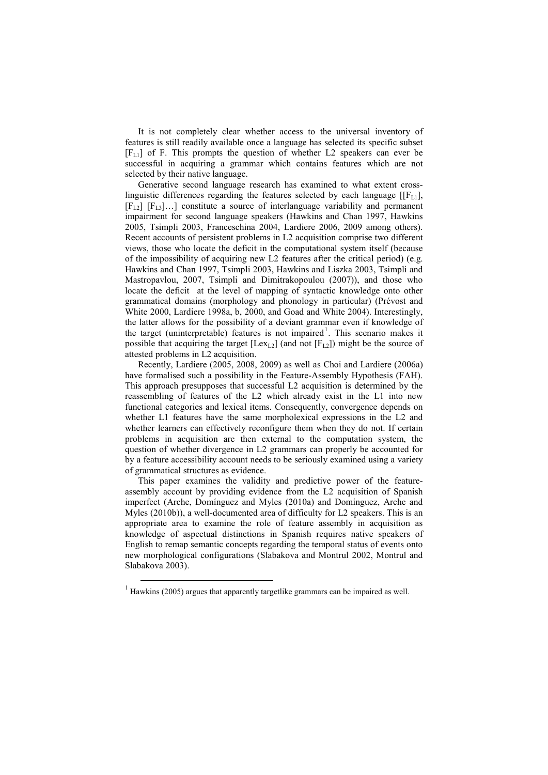It is not completely clear whether access to the universal inventory of features is still readily available once a language has selected its specific subset  $[F<sub>L1</sub>]$  of F. This prompts the question of whether L2 speakers can ever be successful in acquiring a grammar which contains features which are not selected by their native language.

Generative second language research has examined to what extent crosslinguistic differences regarding the features selected by each language  $[[F_L]]$ ,  $[F_{L2}]$   $[F_{L3}]...]$  constitute a source of interlanguage variability and permanent impairment for second language speakers (Hawkins and Chan 1997, Hawkins 2005, Tsimpli 2003, Franceschina 2004, Lardiere 2006, 2009 among others). Recent accounts of persistent problems in L2 acquisition comprise two different views, those who locate the deficit in the computational system itself (because of the impossibility of acquiring new L2 features after the critical period) (e.g. Hawkins and Chan 1997, Tsimpli 2003, Hawkins and Liszka 2003, Tsimpli and Mastropavlou, 2007, Tsimpli and Dimitrakopoulou (2007)), and those who locate the deficit at the level of mapping of syntactic knowledge onto other grammatical domains (morphology and phonology in particular) (Prévost and White 2000, Lardiere 1998a, b, 2000, and Goad and White 2004). Interestingly, the latter allows for the possibility of a deviant grammar even if knowledge of the target (uninterpretable) features is not impaired<sup>1</sup>. This scenario makes it possible that acquiring the target  $[Lex<sub>L2</sub>]$  (and not  $[F<sub>L2</sub>]$ ) might be the source of attested problems in L2 acquisition.

Recently, Lardiere (2005, 2008, 2009) as well as Choi and Lardiere (2006a) have formalised such a possibility in the Feature-Assembly Hypothesis (FAH). This approach presupposes that successful L2 acquisition is determined by the reassembling of features of the L2 which already exist in the L1 into new functional categories and lexical items. Consequently, convergence depends on whether L1 features have the same morpholexical expressions in the L2 and whether learners can effectively reconfigure them when they do not. If certain problems in acquisition are then external to the computation system, the question of whether divergence in L2 grammars can properly be accounted for by a feature accessibility account needs to be seriously examined using a variety of grammatical structures as evidence.

This paper examines the validity and predictive power of the featureassembly account by providing evidence from the L2 acquisition of Spanish imperfect (Arche, Domínguez and Myles (2010a) and Domínguez, Arche and Myles (2010b)), a well-documented area of difficulty for L2 speakers. This is an appropriate area to examine the role of feature assembly in acquisition as knowledge of aspectual distinctions in Spanish requires native speakers of English to remap semantic concepts regarding the temporal status of events onto new morphological configurations (Slabakova and Montrul 2002, Montrul and Slabakova 2003).

 $\overline{a}$ 

 $1$  Hawkins (2005) argues that apparently targetlike grammars can be impaired as well.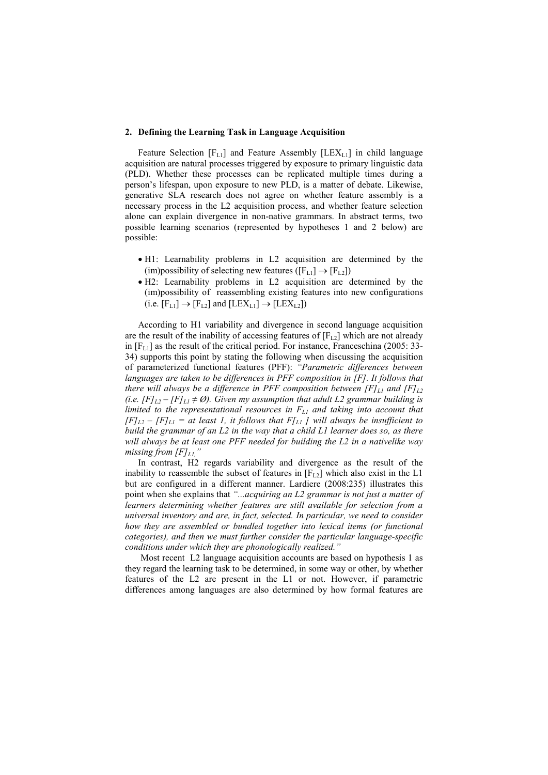#### **2. Defining the Learning Task in Language Acquisition**

Feature Selection  $[F_{L1}]$  and Feature Assembly  $[LEX_{L1}]$  in child language acquisition are natural processes triggered by exposure to primary linguistic data (PLD). Whether these processes can be replicated multiple times during a person's lifespan, upon exposure to new PLD, is a matter of debate. Likewise, generative SLA research does not agree on whether feature assembly is a necessary process in the L2 acquisition process, and whether feature selection alone can explain divergence in non-native grammars. In abstract terms, two possible learning scenarios (represented by hypotheses 1 and 2 below) are possible:

- H1: Learnability problems in L2 acquisition are determined by the (im)possibility of selecting new features ( $[F_{L1}] \rightarrow [F_{L2}]$ )
- H2: Learnability problems in L2 acquisition are determined by the (im)possibility of reassembling existing features into new configurations (i.e.  $[F_{L1}] \rightarrow [F_{L2}]$  and  $[LEX_{L1}] \rightarrow [LEX_{L2}]$ )

According to H1 variability and divergence in second language acquisition are the result of the inability of accessing features of  $[F_{12}]$  which are not already in  $[F_{L1}]$  as the result of the critical period. For instance, Franceschina (2005: 33-34) supports this point by stating the following when discussing the acquisition of parameterized functional features (PFF): *"Parametric differences between languages are taken to be differences in PFF composition in [F]. It follows that there will always be a difference in PFF composition between*  $[Fl<sub>L1</sub>$  *and*  $[Fl<sub>L2</sub>]$ *(i.e.*  $[F]_{L2} - [F]_{L1} \neq \emptyset$ ). Given my assumption that adult L2 grammar building is *limited to the representational resources in FL1 and taking into account that*   $[F]_{L2} - [F]_{L1} =$  at least 1, it follows that  $F|_{L1}$  *]* will always be insufficient to *build the grammar of an L2 in the way that a child L1 learner does so, as there will always be at least one PFF needed for building the L2 in a nativelike way missing from [F]L1,"* 

In contrast, H2 regards variability and divergence as the result of the inability to reassemble the subset of features in  $[F<sub>L2</sub>]$  which also exist in the L1 but are configured in a different manner. Lardiere (2008:235) illustrates this point when she explains that *"...acquiring an L2 grammar is not just a matter of learners determining whether features are still available for selection from a universal inventory and are, in fact, selected. In particular, we need to consider how they are assembled or bundled together into lexical items (or functional categories), and then we must further consider the particular language-specific conditions under which they are phonologically realized."* 

Most recent L2 language acquisition accounts are based on hypothesis 1 as they regard the learning task to be determined, in some way or other, by whether features of the L2 are present in the L1 or not. However, if parametric differences among languages are also determined by how formal features are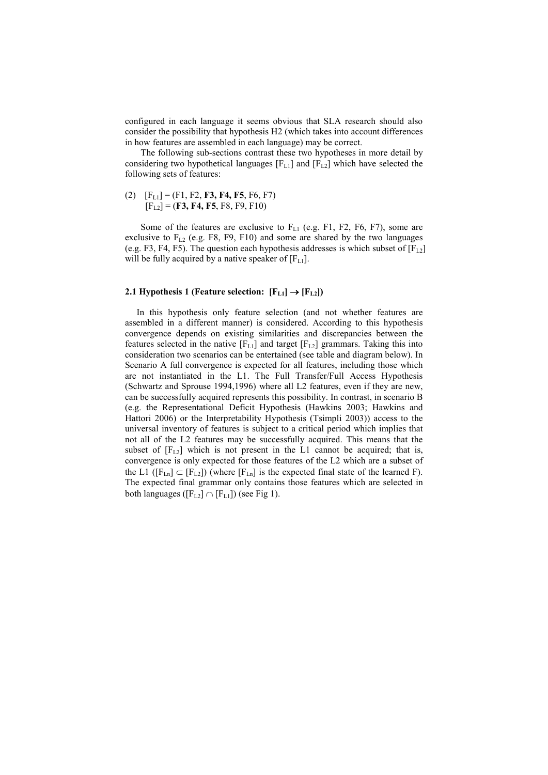configured in each language it seems obvious that SLA research should also consider the possibility that hypothesis H2 (which takes into account differences in how features are assembled in each language) may be correct.

The following sub-sections contrast these two hypotheses in more detail by considering two hypothetical languages  $[F_{L1}]$  and  $[F_{L2}]$  which have selected the following sets of features:

(2)  $[F_{L1}] = (F1, F2, F3, F4, F5, F6, F7)$  $[F<sub>L2</sub>] = (F3, F4, F5, F8, F9, F10)$ 

Some of the features are exclusive to  $F_{L1}$  (e.g. F1, F2, F6, F7), some are exclusive to  $F_{12}$  (e.g. F8, F9, F10) and some are shared by the two languages (e.g. F3, F4, F5). The question each hypothesis addresses is which subset of  $[F<sub>L2</sub>]$ will be fully acquired by a native speaker of  $[F_{L1}]$ .

### **2.1 Hypothesis 1 (Feature selection:**  $[F_{L1}] \rightarrow [F_{L2}]$ **)**

 In this hypothesis only feature selection (and not whether features are assembled in a different manner) is considered. According to this hypothesis convergence depends on existing similarities and discrepancies between the features selected in the native  $[F_{L1}]$  and target  $[F_{L2}]$  grammars. Taking this into consideration two scenarios can be entertained (see table and diagram below). In Scenario A full convergence is expected for all features, including those which are not instantiated in the L1. The Full Transfer/Full Access Hypothesis (Schwartz and Sprouse 1994,1996) where all L2 features, even if they are new, can be successfully acquired represents this possibility. In contrast, in scenario B (e.g. the Representational Deficit Hypothesis (Hawkins 2003; Hawkins and Hattori 2006) or the Interpretability Hypothesis (Tsimpli 2003)) access to the universal inventory of features is subject to a critical period which implies that not all of the L2 features may be successfully acquired. This means that the subset of  $[F_{L2}]$  which is not present in the L1 cannot be acquired; that is, convergence is only expected for those features of the L2 which are a subset of the L1 ( $[F_{Ln}] \subset [F_{L2}]$ ) (where  $[F_{Ln}]$  is the expected final state of the learned F). The expected final grammar only contains those features which are selected in both languages ( $[F_{L2}] \cap [F_{L1}]$ ) (see Fig 1).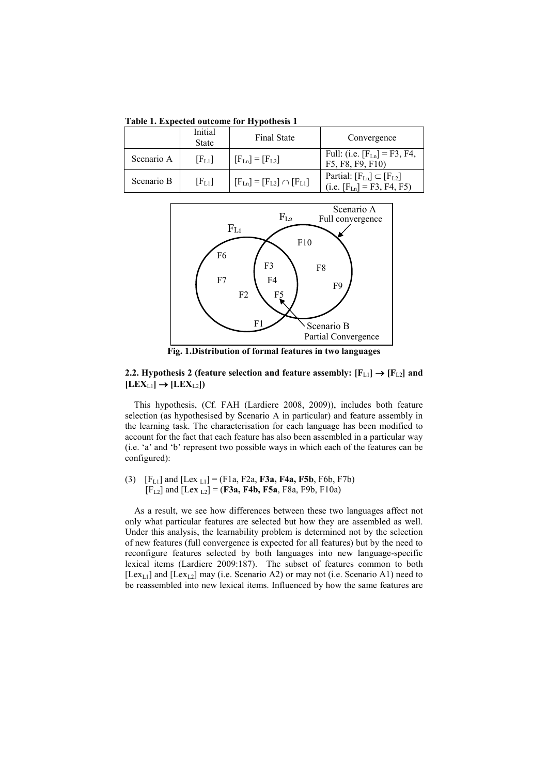**Table 1. Expected outcome for Hypothesis 1** 

|            | Initial<br><b>State</b> | <b>Final State</b>                  | Convergence                                                             |
|------------|-------------------------|-------------------------------------|-------------------------------------------------------------------------|
| Scenario A | $[F_{L1}]$              | $[F_{Ln}] = [F_{L2}]$               | Full: (i.e. $[F_{Ln}] = F3$ , F4,<br>F5, F8, F9, F10)                   |
| Scenario B | [F <sub>L1</sub> ]      | $[F_{Ln}] = [F_{L2}] \cap [F_{L1}]$ | Partial: $[F_{Ln}] \subset [F_{L2}]$<br>(i.e. $[F_{Ln}] = F3$ , F4, F5) |



**Fig. 1.Distribution of formal features in two languages** 

**2.2. Hypothesis 2 (feature selection and feature assembly:**  $[F_{L1}] \rightarrow [F_{L2}]$  **and**  $[LEX_{L1}] \rightarrow [LEX_{L2}]$ 

 This hypothesis, (Cf. FAH (Lardiere 2008, 2009)), includes both feature selection (as hypothesised by Scenario A in particular) and feature assembly in the learning task. The characterisation for each language has been modified to account for the fact that each feature has also been assembled in a particular way (i.e. 'a' and 'b' represent two possible ways in which each of the features can be configured):

(3)  $[F_{L1}]$  and  $[Lex_{L1}] = (F1a, F2a, F3a, F4a, F5b, F6b, F7b)$  $[F_{L2}]$  and  $[Lex_{L2}] = (F3a, F4b, F5a, F8a, F9b, F10a)$ 

 As a result, we see how differences between these two languages affect not only what particular features are selected but how they are assembled as well. Under this analysis, the learnability problem is determined not by the selection of new features (full convergence is expected for all features) but by the need to reconfigure features selected by both languages into new language-specific lexical items (Lardiere 2009:187). The subset of features common to both [Lex<sub>L1</sub>] and [Lex<sub>L2</sub>] may (i.e. Scenario A2) or may not (i.e. Scenario A1) need to be reassembled into new lexical items. Influenced by how the same features are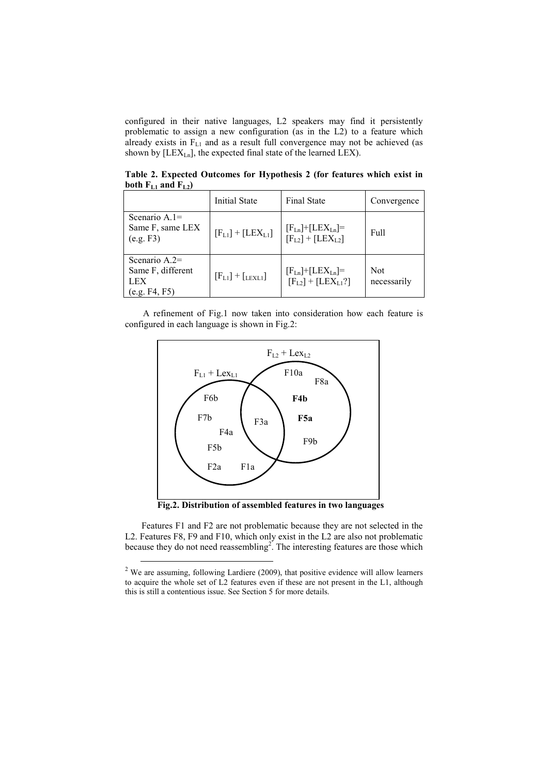configured in their native languages, L2 speakers may find it persistently problematic to assign a new configuration (as in the L2) to a feature which already exists in  $F_{L1}$  and as a result full convergence may not be achieved (as shown by  $[LEX_{Ln}]$ , the expected final state of the learned LEX).

**Table 2. Expected Outcomes for Hypothesis 2 (for features which exist in**  both  $F_{L1}$  and  $F_{L2}$ 

|                                                              | <b>Initial State</b>    | <b>Final State</b>                                     | Convergence               |
|--------------------------------------------------------------|-------------------------|--------------------------------------------------------|---------------------------|
| Scenario $A_1 =$<br>Same F, same LEX<br>(e.g. F3)            | $[F_{L1}] + [LEX_{L1}]$ | $[F_{Ln}]$ + $[LEX_{Ln}]$ =<br>$[F_{L2}] + [LEX_{L2}]$ | Full                      |
| Scenario $A.2=$<br>Same F, different<br>LEX<br>(e.g. F4, F5) | $[F_{L1}] + [$ LEXL1]   | $[F_{Ln}]$ + $[LEX_{Ln}]$ =<br>$[F_{L2}] + [LEX_{L1}]$ | <b>Not</b><br>necessarily |

 A refinement of Fig.1 now taken into consideration how each feature is configured in each language is shown in Fig.2:



**Fig.2. Distribution of assembled features in two languages** 

Features F1 and F2 are not problematic because they are not selected in the L2. Features F8, F9 and F10, which only exist in the L2 are also not problematic because they do not need reassembling<sup>2</sup>. The interesting features are those which

 $\overline{a}$ 

 $2$  We are assuming, following Lardiere (2009), that positive evidence will allow learners to acquire the whole set of L2 features even if these are not present in the L1, although this is still a contentious issue. See Section 5 for more details.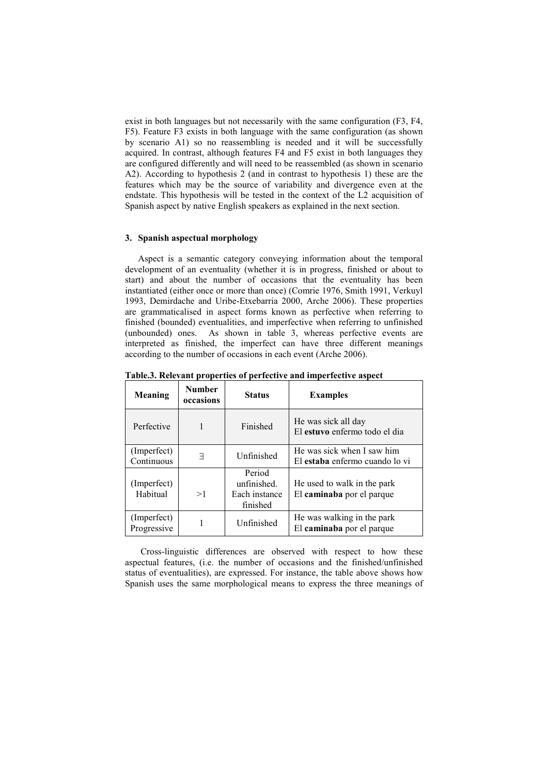exist in both languages but not necessarily with the same configuration (F3, F4, F5). Feature F3 exists in both language with the same configuration (as shown by scenario A1) so no reassembling is needed and it will be successfully acquired. In contrast, although features F4 and F5 exist in both languages they are configured differently and will need to be reassembled (as shown in scenario A2). According to hypothesis 2 (and in contrast to hypothesis 1) these are the features which may be the source of variability and divergence even at the endstate. This hypothesis will be tested in the context of the L2 acquisition of Spanish aspect by native English speakers as explained in the next section.

# **3. Spanish aspectual morphology**

Aspect is a semantic category conveying information about the temporal development of an eventuality (whether it is in progress, finished or about to start) and about the number of occasions that the eventuality has been instantiated (either once or more than once) (Comrie 1976, Smith 1991, Verkuyl 1993, Demirdache and Uribe-Etxebarria 2000, Arche 2006). These properties are grammaticalised in aspect forms known as perfective when referring to finished (bounded) eventualities, and imperfective when referring to unfinished (unbounded) ones. As shown in table 3, whereas perfective events are interpreted as finished, the imperfect can have three different meanings according to the number of occasions in each event (Arche 2006).

| Meaning                    | <b>Number</b><br>occasions | <b>Status</b>                                      | <b>Examples</b>                                              |
|----------------------------|----------------------------|----------------------------------------------------|--------------------------------------------------------------|
| Perfective                 | 1                          | Finished                                           | He was sick all day<br>El estuvo enfermo todo el dia         |
| (Imperfect)<br>Continuous  | ㅋ                          | Unfinished                                         | He was sick when I saw him<br>El estaba enfermo cuando lo vi |
| (Imperfect)<br>Habitual    | >1                         | Period<br>unfinished.<br>Each instance<br>finished | He used to walk in the park<br>El caminaba por el parque     |
| (Imperfect)<br>Progressive |                            | Unfinished                                         | He was walking in the park<br>El caminaba por el parque      |

**Table.3. Relevant properties of perfective and imperfective aspect** 

Cross-linguistic differences are observed with respect to how these aspectual features, (i.e. the number of occasions and the finished/unfinished status of eventualities), are expressed. For instance, the table above shows how Spanish uses the same morphological means to express the three meanings of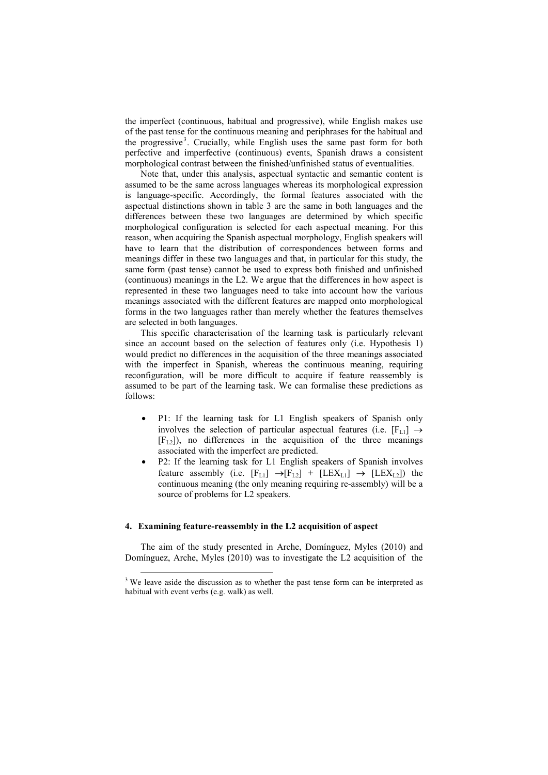the imperfect (continuous, habitual and progressive), while English makes use of the past tense for the continuous meaning and periphrases for the habitual and the progressive<sup>3</sup>. Crucially, while English uses the same past form for both perfective and imperfective (continuous) events, Spanish draws a consistent morphological contrast between the finished/unfinished status of eventualities.

Note that, under this analysis, aspectual syntactic and semantic content is assumed to be the same across languages whereas its morphological expression is language-specific. Accordingly, the formal features associated with the aspectual distinctions shown in table 3 are the same in both languages and the differences between these two languages are determined by which specific morphological configuration is selected for each aspectual meaning. For this reason, when acquiring the Spanish aspectual morphology, English speakers will have to learn that the distribution of correspondences between forms and meanings differ in these two languages and that, in particular for this study, the same form (past tense) cannot be used to express both finished and unfinished (continuous) meanings in the L2. We argue that the differences in how aspect is represented in these two languages need to take into account how the various meanings associated with the different features are mapped onto morphological forms in the two languages rather than merely whether the features themselves are selected in both languages.

This specific characterisation of the learning task is particularly relevant since an account based on the selection of features only (i.e. Hypothesis 1) would predict no differences in the acquisition of the three meanings associated with the imperfect in Spanish, whereas the continuous meaning, requiring reconfiguration, will be more difficult to acquire if feature reassembly is assumed to be part of the learning task. We can formalise these predictions as follows:

- P1: If the learning task for L1 English speakers of Spanish only involves the selection of particular aspectual features (i.e.  $[F_{L1}] \rightarrow$  $[F<sub>L2</sub>]$ , no differences in the acquisition of the three meanings associated with the imperfect are predicted.
- P2: If the learning task for L1 English speakers of Spanish involves feature assembly (i.e.  $[F_{L1}] \rightarrow [F_{L2}] + [LEX_{L1}] \rightarrow [LEX_{L2}]$ ) the continuous meaning (the only meaning requiring re-assembly) will be a source of problems for L2 speakers.

#### **4. Examining feature-reassembly in the L2 acquisition of aspect**

The aim of the study presented in Arche, Domínguez, Myles (2010) and Domínguez, Arche, Myles (2010) was to investigate the L2 acquisition of the

<sup>&</sup>lt;sup>3</sup> We leave aside the discussion as to whether the past tense form can be interpreted as habitual with event verbs (e.g. walk) as well.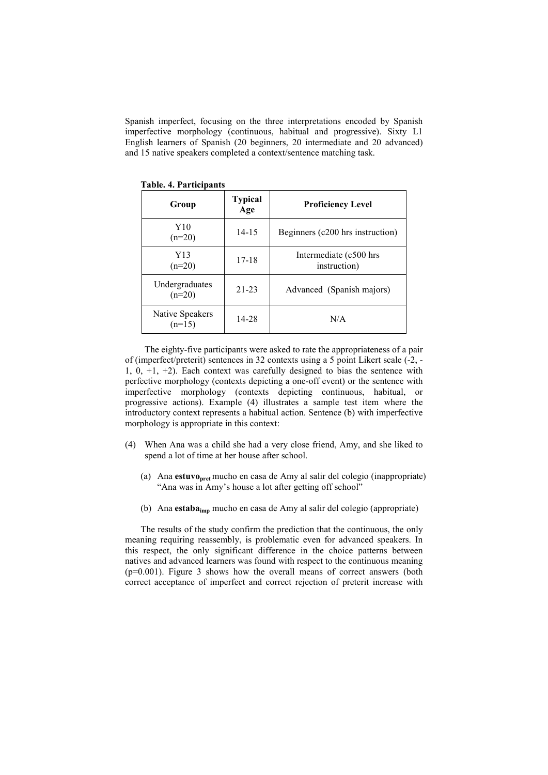Spanish imperfect, focusing on the three interpretations encoded by Spanish imperfective morphology (continuous, habitual and progressive). Sixty L1 English learners of Spanish (20 beginners, 20 intermediate and 20 advanced) and 15 native speakers completed a context/sentence matching task.

| Group                       | <b>Typical</b><br>Age | <b>Proficiency Level</b>               |
|-----------------------------|-----------------------|----------------------------------------|
| Y10<br>$(n=20)$             | $14 - 15$             | Beginners (c200 hrs instruction)       |
| Y13<br>$(n=20)$             | $17 - 18$             | Intermediate (c500 hrs<br>instruction) |
| Undergraduates<br>$(n=20)$  | $21 - 23$             | Advanced (Spanish majors)              |
| Native Speakers<br>$(n=15)$ | 14-28                 | N/A                                    |

**Table. 4. Participants** 

The eighty-five participants were asked to rate the appropriateness of a pair of (imperfect/preterit) sentences in 32 contexts using a 5 point Likert scale (-2, - 1, 0,  $+1$ ,  $+2$ ). Each context was carefully designed to bias the sentence with perfective morphology (contexts depicting a one-off event) or the sentence with imperfective morphology (contexts depicting continuous, habitual, or progressive actions). Example (4) illustrates a sample test item where the introductory context represents a habitual action. Sentence (b) with imperfective morphology is appropriate in this context:

- (4) When Ana was a child she had a very close friend, Amy, and she liked to spend a lot of time at her house after school.
	- (a) Ana **estuvopret** mucho en casa de Amy al salir del colegio (inappropriate) "Ana was in Amy's house a lot after getting off school"
	- (b) Ana **estabaimp** mucho en casa de Amy al salir del colegio (appropriate)

The results of the study confirm the prediction that the continuous, the only meaning requiring reassembly, is problematic even for advanced speakers. In this respect, the only significant difference in the choice patterns between natives and advanced learners was found with respect to the continuous meaning (p=0.001). Figure 3 shows how the overall means of correct answers (both correct acceptance of imperfect and correct rejection of preterit increase with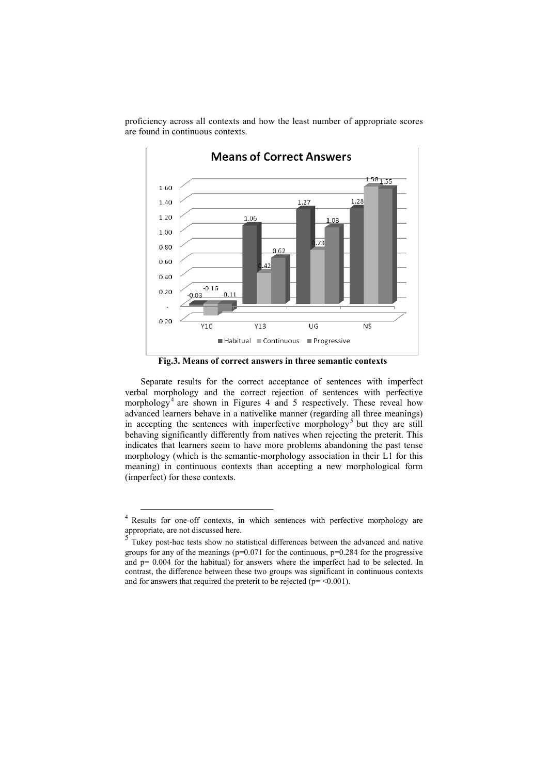

proficiency across all contexts and how the least number of appropriate scores are found in continuous contexts.

**Fig.3. Means of correct answers in three semantic contexts** 

Separate results for the correct acceptance of sentences with imperfect verbal morphology and the correct rejection of sentences with perfective morphology<sup>4</sup> are shown in Figures 4 and 5 respectively. These reveal how advanced learners behave in a nativelike manner (regarding all three meanings) in accepting the sentences with imperfective morphology<sup>5</sup> but they are still behaving significantly differently from natives when rejecting the preterit. This indicates that learners seem to have more problems abandoning the past tense morphology (which is the semantic-morphology association in their L1 for this meaning) in continuous contexts than accepting a new morphological form (imperfect) for these contexts.

 4 Results for one-off contexts, in which sentences with perfective morphology are appropriate, are not discussed here.

<sup>5</sup> Tukey post-hoc tests show no statistical differences between the advanced and native groups for any of the meanings  $(p=0.071)$  for the continuous,  $p=0.284$  for the progressive and  $p= 0.004$  for the habitual) for answers where the imperfect had to be selected. In contrast, the difference between these two groups was significant in continuous contexts and for answers that required the preterit to be rejected ( $p = \leq 0.001$ ).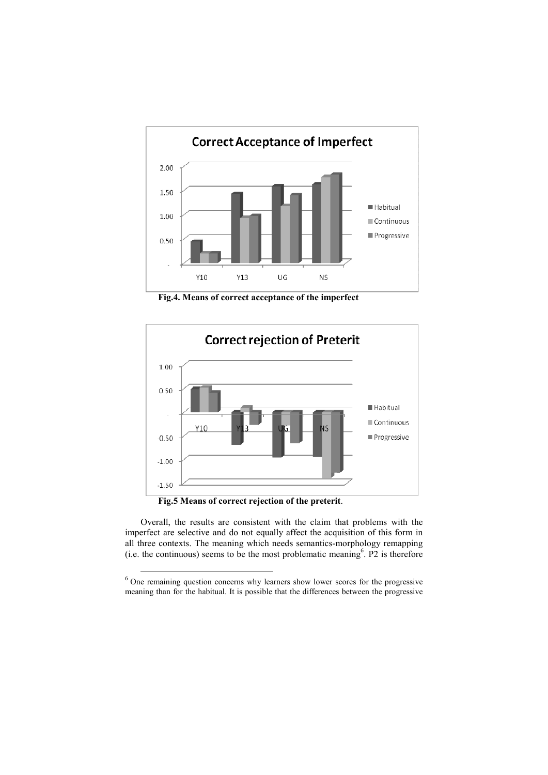

**Fig.4. Means of correct acceptance of the imperfect**



**Fig.5 Means of correct rejection of the preterit**.

 $\overline{a}$ 

Overall, the results are consistent with the claim that problems with the imperfect are selective and do not equally affect the acquisition of this form in all three contexts. The meaning which needs semantics-morphology remapping  $(i.e.$  the continuous) seems to be the most problematic meaning<sup>6</sup>. P2 is therefore

 $6$  One remaining question concerns why learners show lower scores for the progressive meaning than for the habitual. It is possible that the differences between the progressive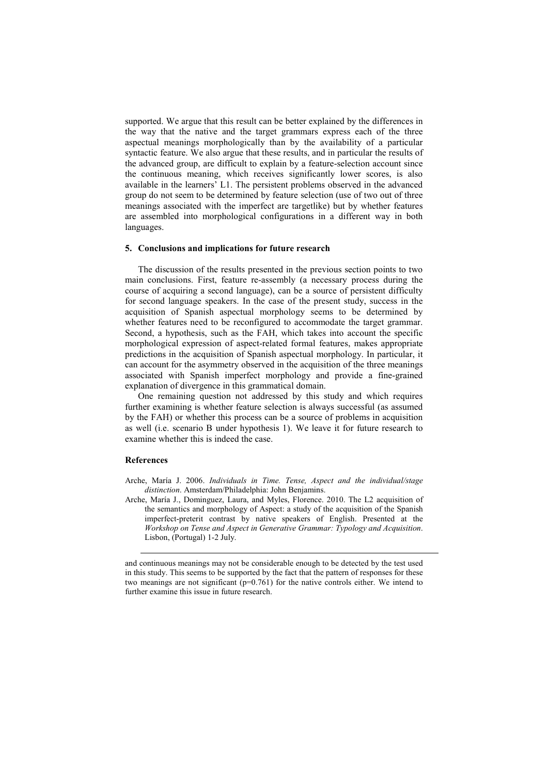supported. We argue that this result can be better explained by the differences in the way that the native and the target grammars express each of the three aspectual meanings morphologically than by the availability of a particular syntactic feature. We also argue that these results, and in particular the results of the advanced group, are difficult to explain by a feature-selection account since the continuous meaning, which receives significantly lower scores, is also available in the learners' L1. The persistent problems observed in the advanced group do not seem to be determined by feature selection (use of two out of three meanings associated with the imperfect are targetlike) but by whether features are assembled into morphological configurations in a different way in both languages.

# **5. Conclusions and implications for future research**

The discussion of the results presented in the previous section points to two main conclusions. First, feature re-assembly (a necessary process during the course of acquiring a second language), can be a source of persistent difficulty for second language speakers. In the case of the present study, success in the acquisition of Spanish aspectual morphology seems to be determined by whether features need to be reconfigured to accommodate the target grammar. Second, a hypothesis, such as the FAH, which takes into account the specific morphological expression of aspect-related formal features, makes appropriate predictions in the acquisition of Spanish aspectual morphology. In particular, it can account for the asymmetry observed in the acquisition of the three meanings associated with Spanish imperfect morphology and provide a fine-grained explanation of divergence in this grammatical domain.

One remaining question not addressed by this study and which requires further examining is whether feature selection is always successful (as assumed by the FAH) or whether this process can be a source of problems in acquisition as well (i.e. scenario B under hypothesis 1). We leave it for future research to examine whether this is indeed the case.

## **References**

-

- Arche, María J. 2006. *Individuals in Time. Tense, Aspect and the individual/stage distinction*. Amsterdam/Philadelphia: John Benjamins.
- Arche, María J., Dominguez, Laura, and Myles, Florence. 2010. The L2 acquisition of the semantics and morphology of Aspect: a study of the acquisition of the Spanish imperfect-preterit contrast by native speakers of English. Presented at the *Workshop on Tense and Aspect in Generative Grammar: Typology and Acquisition*. Lisbon, (Portugal) 1-2 July.

and continuous meanings may not be considerable enough to be detected by the test used in this study. This seems to be supported by the fact that the pattern of responses for these two meanings are not significant  $(p=0.761)$  for the native controls either. We intend to further examine this issue in future research.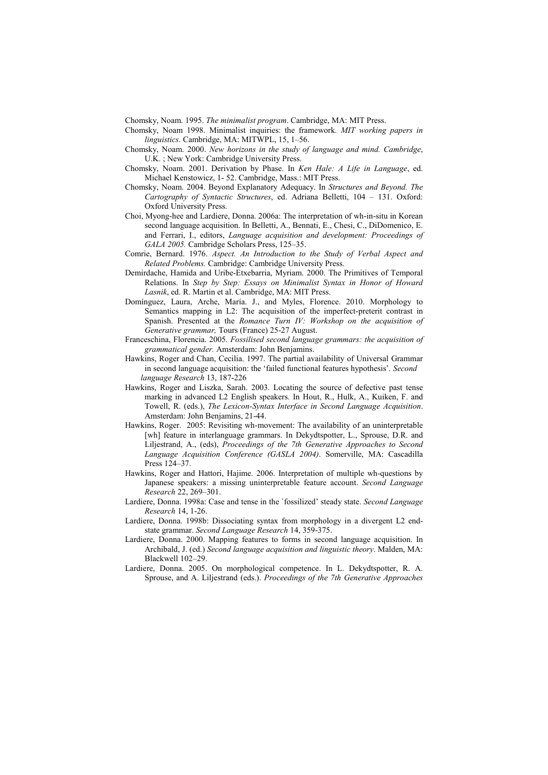Chomsky, Noam. 1995. *The minimalist program*. Cambridge, MA: MIT Press.

- Chomsky, Noam 1998. Minimalist inquiries: the framework. *MIT working papers in linguistics*. Cambridge, MA: MITWPL, 15, 1–56.
- Chomsky, Noam. 2000. *New horizons in the study of language and mind. Cambridge*, U.K. ; New York: Cambridge University Press.
- Chomsky, Noam. 2001. Derivation by Phase. In *Ken Hale: A Life in Language*, ed. Michael Kenstowicz, 1- 52. Cambridge, Mass.: MIT Press.
- Chomsky, Noam. 2004. Beyond Explanatory Adequacy. In *Structures and Beyond. The Cartography of Syntactic Structures*, ed. Adriana Belletti, 104 – 131. Oxford: Oxford University Press.
- Choi, Myong-hee and Lardiere, Donna. 2006a: The interpretation of wh-in-situ in Korean second language acquisition. In Belletti, A., Bennati, E., Chesi, C., DiDomenico, E. and Ferrari, I., editors, *Language acquisition and development: Proceedings of GALA 2005.* Cambridge Scholars Press, 125–35.
- Comrie, Bernard. 1976. *Aspect. An Introduction to the Study of Verbal Aspect and Related Problems.* Cambridge: Cambridge University Press.
- Demirdache, Hamida and Uribe-Etxebarria, Myriam. 2000. The Primitives of Temporal Relations. In *Step by Step: Essays on Minimalist Syntax in Honor of Howard Lasnik*, ed. R. Martin et al. Cambridge, MA: MIT Press.
- Domínguez, Laura, Arche, María. J., and Myles, Florence. 2010. Morphology to Semantics mapping in L2: The acquisition of the imperfect-preterit contrast in Spanish. Presented at the *Romance Turn IV: Workshop on the acquisition of Generative grammar,* Tours (France) 25-27 August.
- Franceschina, Florencia. 2005*. Fossilised second language grammars: the acquisition of grammatical gender.* Amsterdam: John Benjamins.
- Hawkins, Roger and Chan, Cecilia. 1997. The partial availability of Universal Grammar in second language acquisition: the 'failed functional features hypothesis'*. Second language Research* 13, 187-226
- Hawkins, Roger and Liszka, Sarah. 2003. Locating the source of defective past tense marking in advanced L2 English speakers. In Hout, R., Hulk, A., Kuiken, F. and Towell, R. (eds.), *The Lexicon-Syntax Interface in Second Language Acquisition*. Amsterdam: John Benjamins, 21-44.
- Hawkins, Roger. 2005: Revisiting wh-movement: The availability of an uninterpretable [wh] feature in interlanguage grammars. In Dekydtspotter, L., Sprouse, D.R. and Liljestrand, A., (eds), *Proceedings of the 7th Generative Approaches to Second Language Acquisition Conference (GASLA 2004)*. Somerville, MA: Cascadilla Press 124–37.
- Hawkins, Roger and Hattori, Hajime. 2006. Interpretation of multiple wh-questions by Japanese speakers: a missing uninterpretable feature account. *Second Language Research* 22, 269–301.
- Lardiere, Donna. 1998a: Case and tense in the `fossilized' steady state. *Second Language Research* 14, 1-26.
- Lardiere, Donna. 1998b: Dissociating syntax from morphology in a divergent L2 endstate grammar. *Second Language Research* 14, 359-375.
- Lardiere, Donna. 2000. Mapping features to forms in second language acquisition. In Archibald, J. (ed.) *Second language acquisition and linguistic theory*. Malden, MA: Blackwell  $102-29$ .
- Lardiere, Donna. 2005. On morphological competence. In L. Dekydtspotter, R. A. Sprouse, and A. Liljestrand (eds.). *Proceedings of the 7th Generative Approaches*